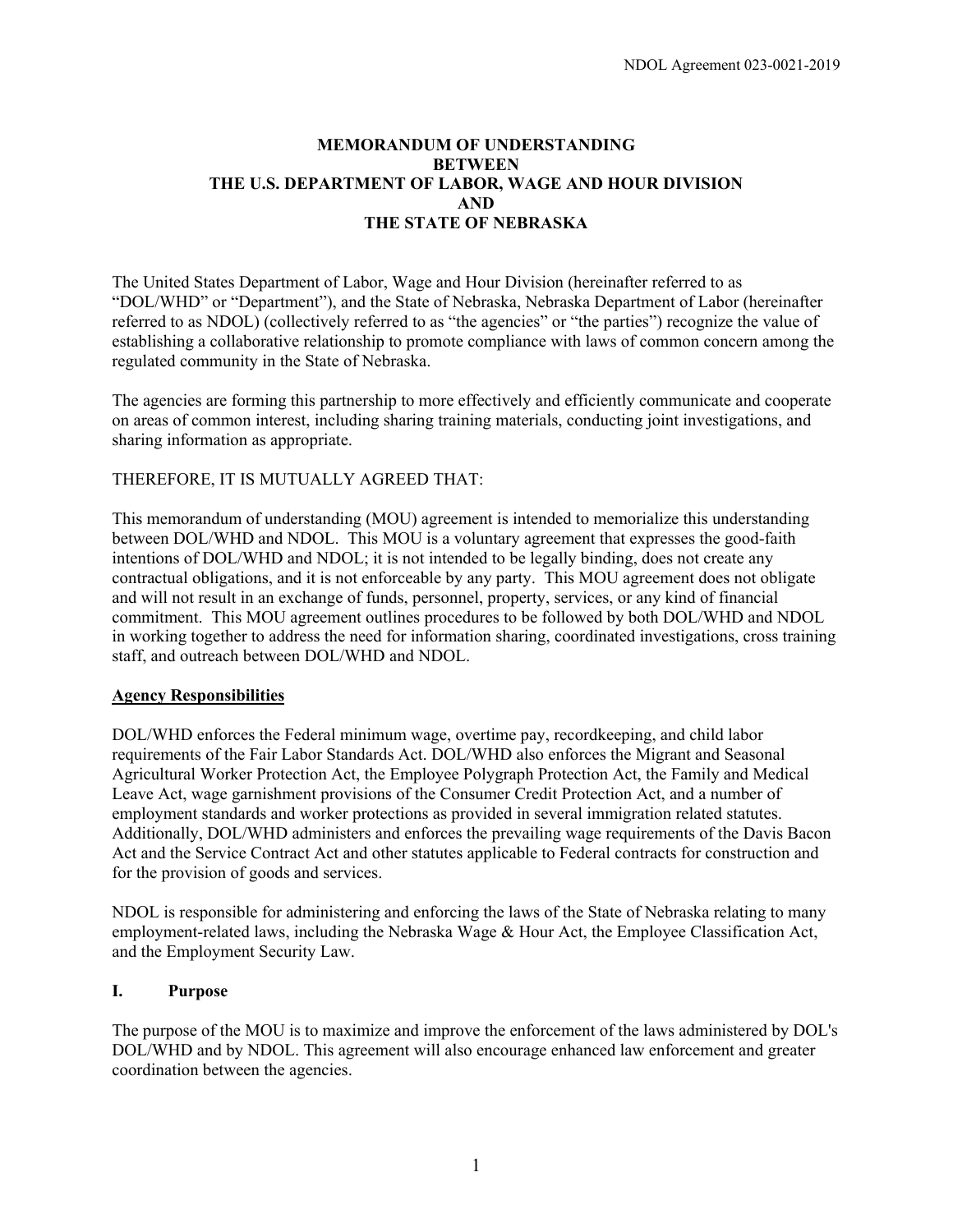# **MEMORANDUM OF UNDERSTANDING BETWEEN THE U.S. DEPARTMENT OF LABOR, WAGE AND HOUR DIVISION AND THE STATE OF NEBRASKA**

The United States Department of Labor, Wage and Hour Division (hereinafter referred to as "DOL/WHD" or "Department"), and the State of Nebraska, Nebraska Department of Labor (hereinafter referred to as NDOL) (collectively referred to as "the agencies" or "the parties") recognize the value of establishing a collaborative relationship to promote compliance with laws of common concern among the regulated community in the State of Nebraska.

The agencies are forming this partnership to more effectively and efficiently communicate and cooperate on areas of common interest, including sharing training materials, conducting joint investigations, and sharing information as appropriate.

# THEREFORE, IT IS MUTUALLY AGREED THAT:

This memorandum of understanding (MOU) agreement is intended to memorialize this understanding between DOL/WHD and NDOL. This MOU is a voluntary agreement that expresses the good-faith intentions of DOL/WHD and NDOL; it is not intended to be legally binding, does not create any contractual obligations, and it is not enforceable by any party. This MOU agreement does not obligate and will not result in an exchange of funds, personnel, property, services, or any kind of financial commitment. This MOU agreement outlines procedures to be followed by both DOL/WHD and NDOL in working together to address the need for information sharing, coordinated investigations, cross training staff, and outreach between DOL/WHD and NDOL.

### **Agency Responsibilities**

DOL/WHD enforces the Federal minimum wage, overtime pay, recordkeeping, and child labor requirements of the Fair Labor Standards Act. DOL/WHD also enforces the Migrant and Seasonal Agricultural Worker Protection Act, the Employee Polygraph Protection Act, the Family and Medical Leave Act, wage garnishment provisions of the Consumer Credit Protection Act, and a number of employment standards and worker protections as provided in several immigration related statutes. Additionally, DOL/WHD administers and enforces the prevailing wage requirements of the Davis Bacon Act and the Service Contract Act and other statutes applicable to Federal contracts for construction and for the provision of goods and services.

NDOL is responsible for administering and enforcing the laws of the State of Nebraska relating to many employment-related laws, including the Nebraska Wage & Hour Act, the Employee Classification Act, and the Employment Security Law.

### **I. Purpose**

The purpose of the MOU is to maximize and improve the enforcement of the laws administered by DOL's DOL/WHD and by NDOL. This agreement will also encourage enhanced law enforcement and greater coordination between the agencies.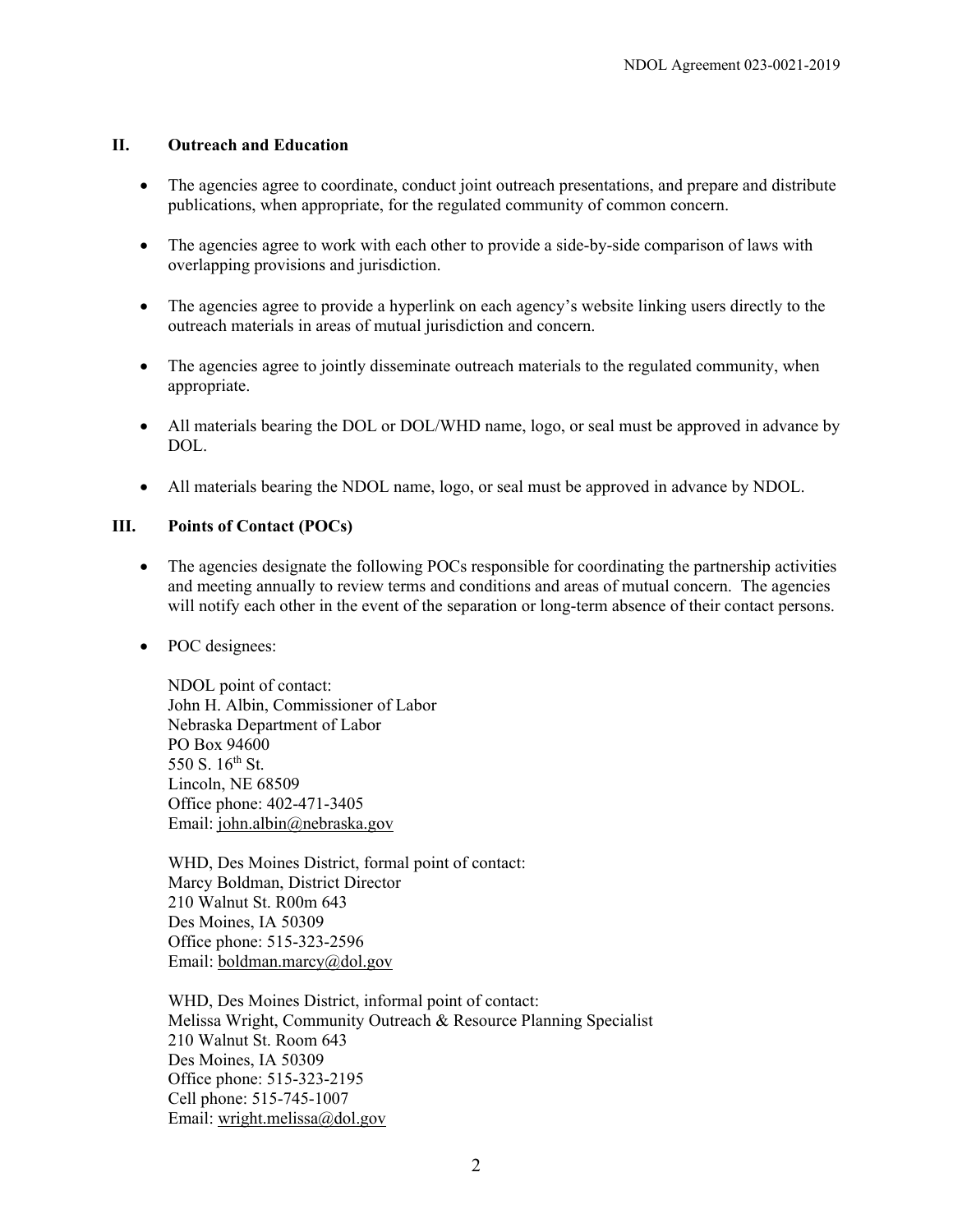## **II. Outreach and Education**

- The agencies agree to coordinate, conduct joint outreach presentations, and prepare and distribute publications, when appropriate, for the regulated community of common concern.
- The agencies agree to work with each other to provide a side-by-side comparison of laws with overlapping provisions and jurisdiction.
- The agencies agree to provide a hyperlink on each agency's website linking users directly to the outreach materials in areas of mutual jurisdiction and concern.
- The agencies agree to jointly disseminate outreach materials to the regulated community, when appropriate.
- All materials bearing the DOL or DOL/WHD name, logo, or seal must be approved in advance by DOL.
- All materials bearing the NDOL name, logo, or seal must be approved in advance by NDOL.

## **III. Points of Contact (POCs)**

- The agencies designate the following POCs responsible for coordinating the partnership activities and meeting annually to review terms and conditions and areas of mutual concern. The agencies will notify each other in the event of the separation or long-term absence of their contact persons.
- POC designees:

NDOL point of contact: John H. Albin, Commissioner of Labor Nebraska Department of Labor PO Box 94600 550 S.  $16^{th}$  St. Lincoln, NE 68509 Office phone: 402-471-3405 Email: [john.albin@nebraska.gov](mailto:john.albin@nebraska.gov)

WHD, Des Moines District, formal point of contact: Marcy Boldman, District Director 210 Walnut St. R00m 643 Des Moines, IA 50309 Office phone: 515-323-2596 Email: **boldman.marcy**@dol.gov

WHD, Des Moines District, informal point of contact: Melissa Wright, Community Outreach & Resource Planning Specialist 210 Walnut St. Room 643 Des Moines, IA 50309 Office phone: 515-323-2195 Cell phone: 515-745-1007 Email: [wright.melissa@dol.gov](mailto:wright.melissa@dol.gov)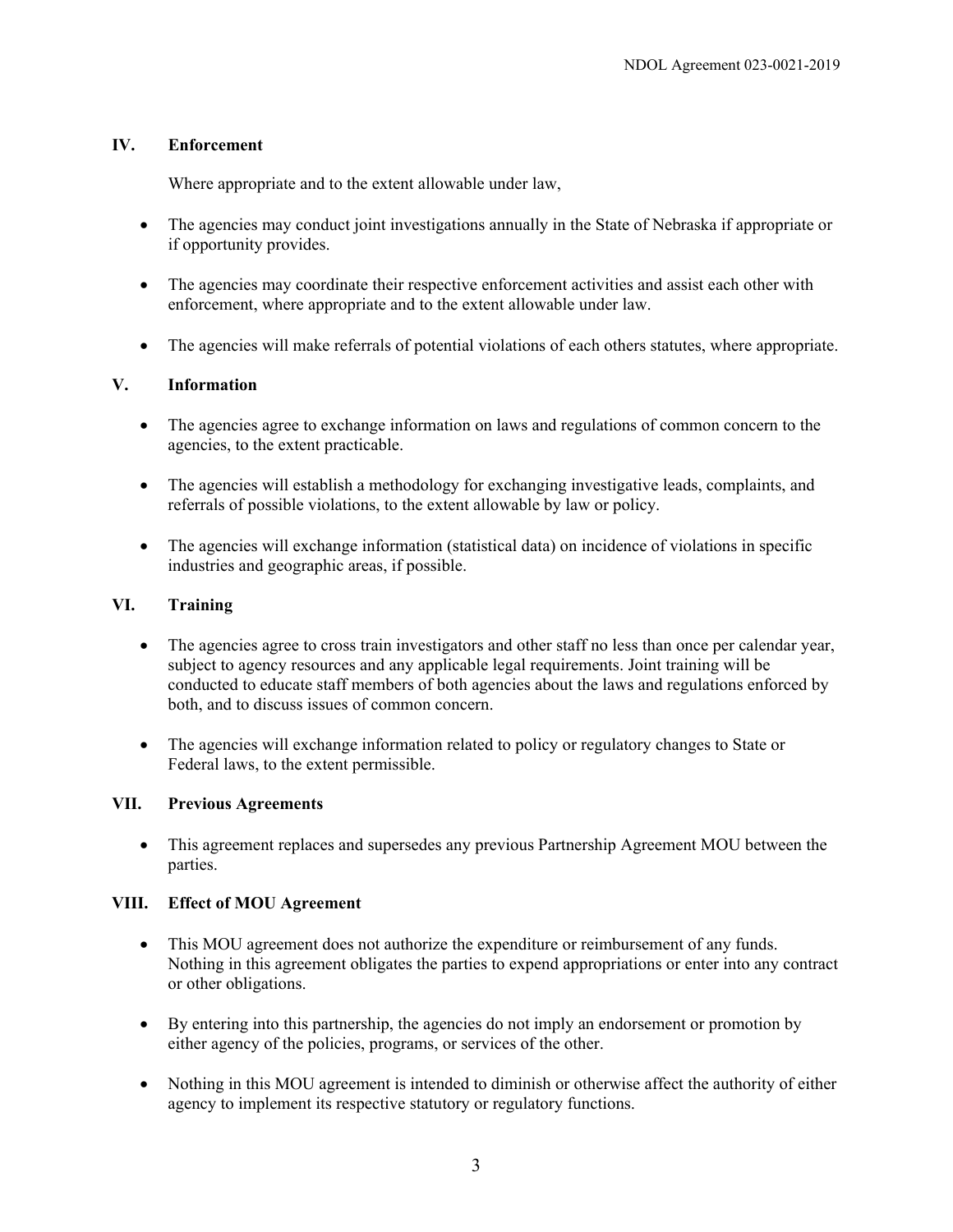## **IV. Enforcement**

Where appropriate and to the extent allowable under law,

- The agencies may conduct joint investigations annually in the State of Nebraska if appropriate or if opportunity provides.
- The agencies may coordinate their respective enforcement activities and assist each other with enforcement, where appropriate and to the extent allowable under law.
- The agencies will make referrals of potential violations of each others statutes, where appropriate.

## **V. Information**

- The agencies agree to exchange information on laws and regulations of common concern to the agencies, to the extent practicable.
- The agencies will establish a methodology for exchanging investigative leads, complaints, and referrals of possible violations, to the extent allowable by law or policy.
- The agencies will exchange information (statistical data) on incidence of violations in specific industries and geographic areas, if possible.

## **VI. Training**

- The agencies agree to cross train investigators and other staff no less than once per calendar year, subject to agency resources and any applicable legal requirements. Joint training will be conducted to educate staff members of both agencies about the laws and regulations enforced by both, and to discuss issues of common concern.
- The agencies will exchange information related to policy or regulatory changes to State or Federal laws, to the extent permissible.

### **VII. Previous Agreements**

• This agreement replaces and supersedes any previous Partnership Agreement MOU between the parties.

### **VIII. Effect of MOU Agreement**

- This MOU agreement does not authorize the expenditure or reimbursement of any funds. Nothing in this agreement obligates the parties to expend appropriations or enter into any contract or other obligations.
- By entering into this partnership, the agencies do not imply an endorsement or promotion by either agency of the policies, programs, or services of the other.
- Nothing in this MOU agreement is intended to diminish or otherwise affect the authority of either agency to implement its respective statutory or regulatory functions.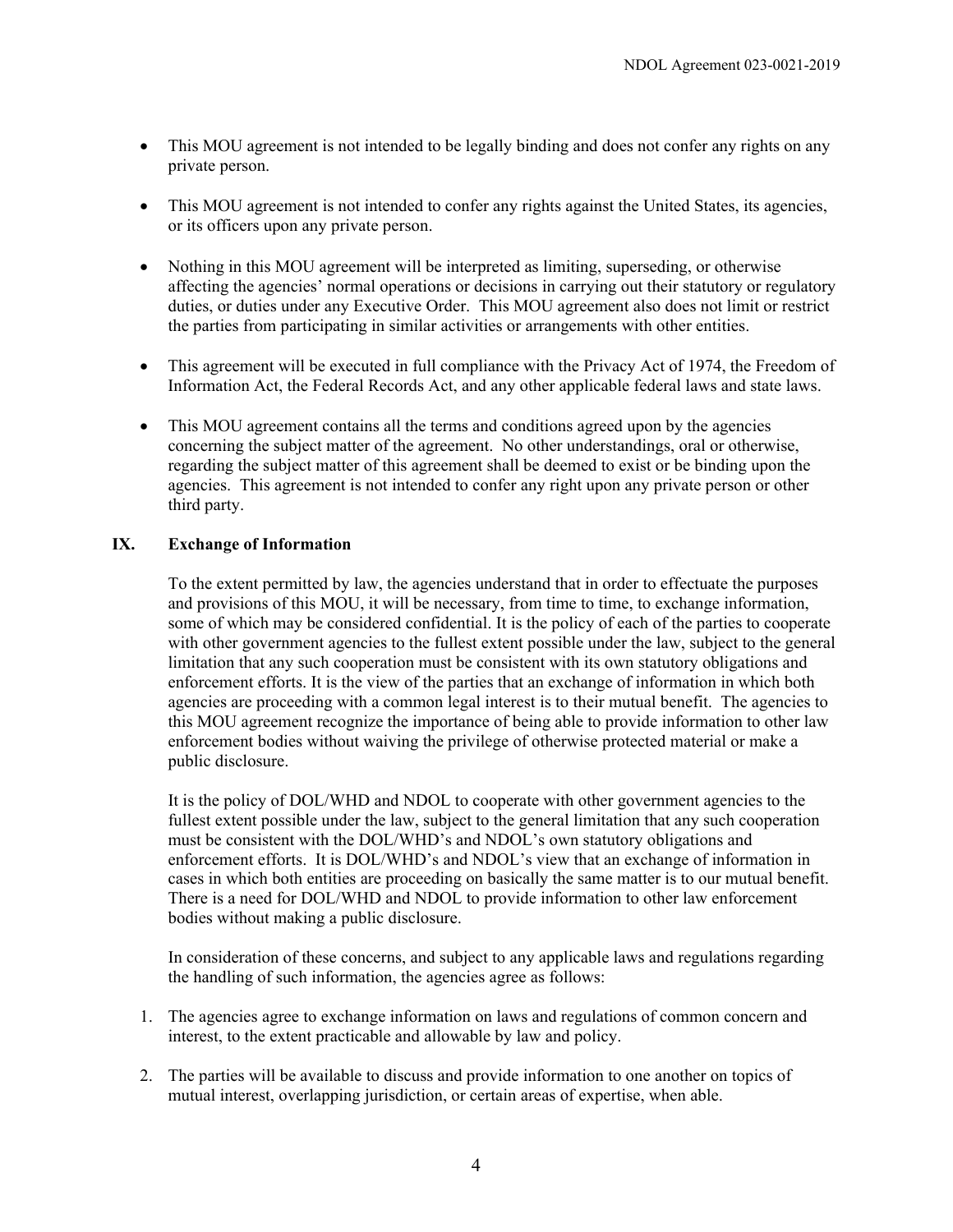- This MOU agreement is not intended to be legally binding and does not confer any rights on any private person.
- This MOU agreement is not intended to confer any rights against the United States, its agencies, or its officers upon any private person.
- Nothing in this MOU agreement will be interpreted as limiting, superseding, or otherwise affecting the agencies' normal operations or decisions in carrying out their statutory or regulatory duties, or duties under any Executive Order. This MOU agreement also does not limit or restrict the parties from participating in similar activities or arrangements with other entities.
- This agreement will be executed in full compliance with the Privacy Act of 1974, the Freedom of Information Act, the Federal Records Act, and any other applicable federal laws and state laws.
- This MOU agreement contains all the terms and conditions agreed upon by the agencies concerning the subject matter of the agreement. No other understandings, oral or otherwise, regarding the subject matter of this agreement shall be deemed to exist or be binding upon the agencies. This agreement is not intended to confer any right upon any private person or other third party.

## **IX. Exchange of Information**

To the extent permitted by law, the agencies understand that in order to effectuate the purposes and provisions of this MOU, it will be necessary, from time to time, to exchange information, some of which may be considered confidential. It is the policy of each of the parties to cooperate with other government agencies to the fullest extent possible under the law, subject to the general limitation that any such cooperation must be consistent with its own statutory obligations and enforcement efforts. It is the view of the parties that an exchange of information in which both agencies are proceeding with a common legal interest is to their mutual benefit. The agencies to this MOU agreement recognize the importance of being able to provide information to other law enforcement bodies without waiving the privilege of otherwise protected material or make a public disclosure.

It is the policy of DOL/WHD and NDOL to cooperate with other government agencies to the fullest extent possible under the law, subject to the general limitation that any such cooperation must be consistent with the DOL/WHD's and NDOL's own statutory obligations and enforcement efforts. It is DOL/WHD's and NDOL's view that an exchange of information in cases in which both entities are proceeding on basically the same matter is to our mutual benefit. There is a need for DOL/WHD and NDOL to provide information to other law enforcement bodies without making a public disclosure.

In consideration of these concerns, and subject to any applicable laws and regulations regarding the handling of such information, the agencies agree as follows:

- 1. The agencies agree to exchange information on laws and regulations of common concern and interest, to the extent practicable and allowable by law and policy.
- 2. The parties will be available to discuss and provide information to one another on topics of mutual interest, overlapping jurisdiction, or certain areas of expertise, when able.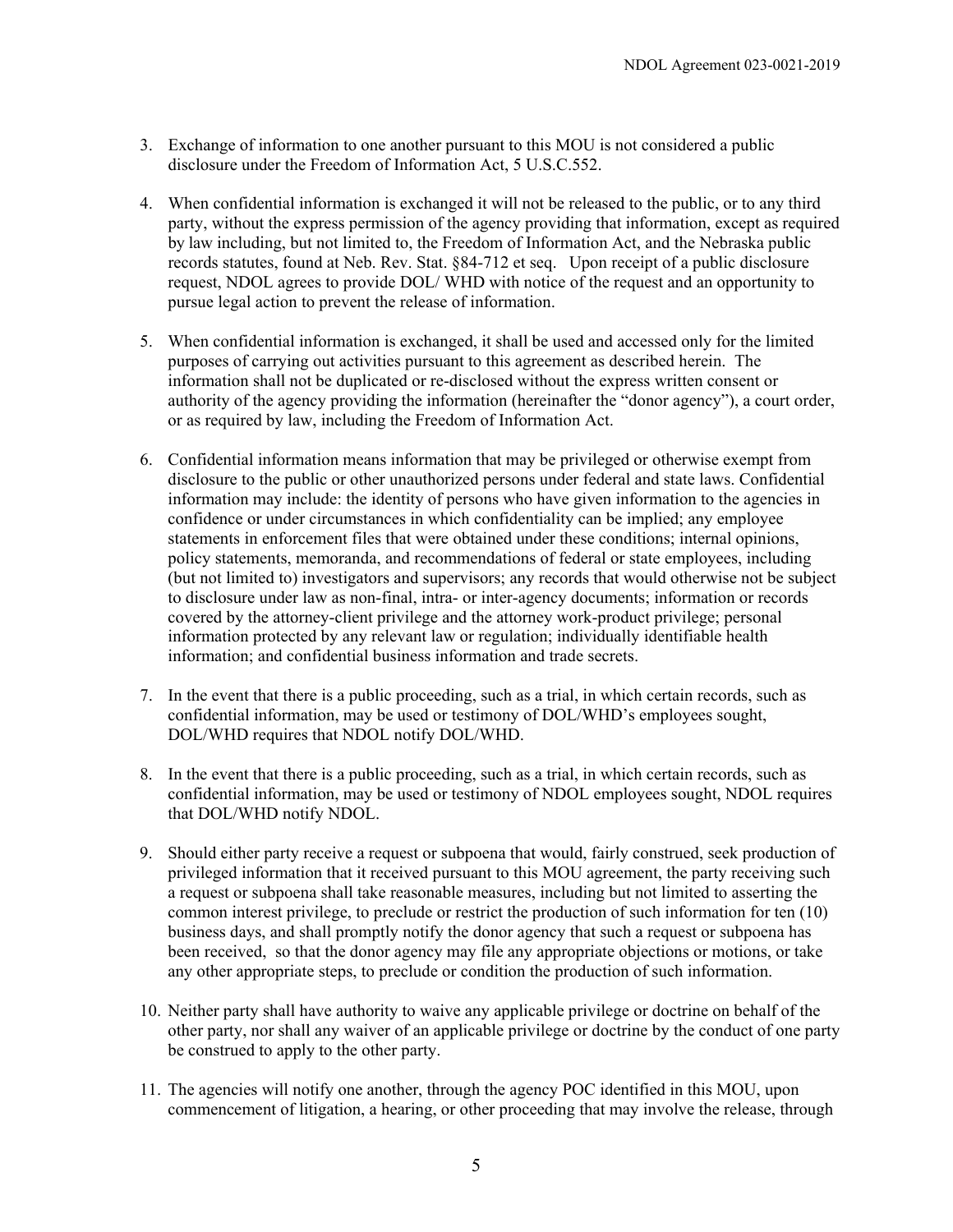- 3. Exchange of information to one another pursuant to this MOU is not considered a public disclosure under the Freedom of Information Act, 5 U.S.C.552.
- 4. When confidential information is exchanged it will not be released to the public, or to any third party, without the express permission of the agency providing that information, except as required by law including, but not limited to, the Freedom of Information Act, and the Nebraska public records statutes, found at Neb. Rev. Stat. §84-712 et seq. Upon receipt of a public disclosure request, NDOL agrees to provide DOL/ WHD with notice of the request and an opportunity to pursue legal action to prevent the release of information.
- 5. When confidential information is exchanged, it shall be used and accessed only for the limited purposes of carrying out activities pursuant to this agreement as described herein. The information shall not be duplicated or re-disclosed without the express written consent or authority of the agency providing the information (hereinafter the "donor agency"), a court order, or as required by law, including the Freedom of Information Act.
- 6. Confidential information means information that may be privileged or otherwise exempt from disclosure to the public or other unauthorized persons under federal and state laws. Confidential information may include: the identity of persons who have given information to the agencies in confidence or under circumstances in which confidentiality can be implied; any employee statements in enforcement files that were obtained under these conditions; internal opinions, policy statements, memoranda, and recommendations of federal or state employees, including (but not limited to) investigators and supervisors; any records that would otherwise not be subject to disclosure under law as non-final, intra- or inter-agency documents; information or records covered by the attorney-client privilege and the attorney work-product privilege; personal information protected by any relevant law or regulation; individually identifiable health information; and confidential business information and trade secrets.
- 7. In the event that there is a public proceeding, such as a trial, in which certain records, such as confidential information, may be used or testimony of DOL/WHD's employees sought, DOL/WHD requires that NDOL notify DOL/WHD.
- 8. In the event that there is a public proceeding, such as a trial, in which certain records, such as confidential information, may be used or testimony of NDOL employees sought, NDOL requires that DOL/WHD notify NDOL.
- 9. Should either party receive a request or subpoena that would, fairly construed, seek production of privileged information that it received pursuant to this MOU agreement, the party receiving such a request or subpoena shall take reasonable measures, including but not limited to asserting the common interest privilege, to preclude or restrict the production of such information for ten (10) business days, and shall promptly notify the donor agency that such a request or subpoena has been received, so that the donor agency may file any appropriate objections or motions, or take any other appropriate steps, to preclude or condition the production of such information.
- 10. Neither party shall have authority to waive any applicable privilege or doctrine on behalf of the other party, nor shall any waiver of an applicable privilege or doctrine by the conduct of one party be construed to apply to the other party.
- 11. The agencies will notify one another, through the agency POC identified in this MOU, upon commencement of litigation, a hearing, or other proceeding that may involve the release, through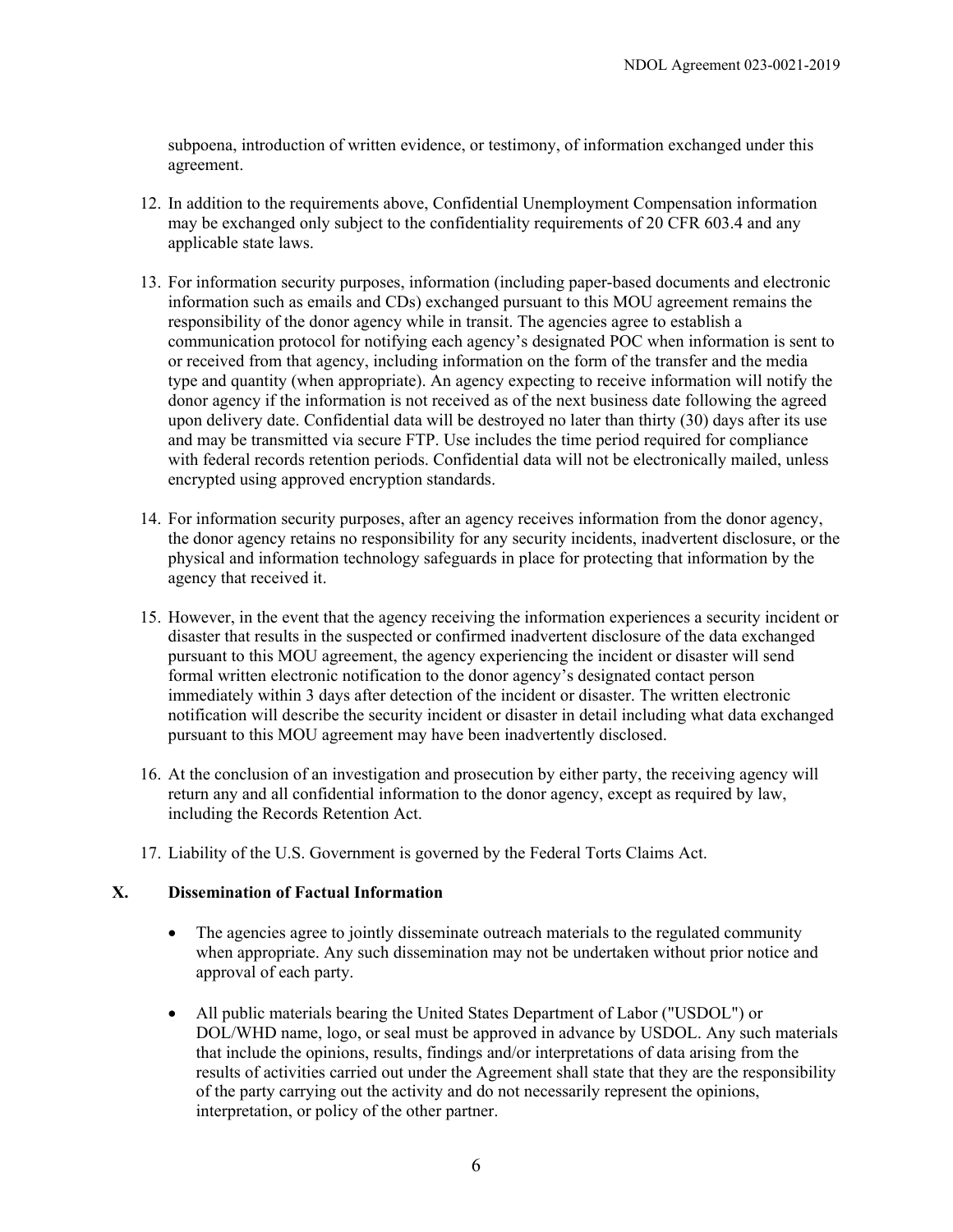subpoena, introduction of written evidence, or testimony, of information exchanged under this agreement.

- 12. In addition to the requirements above, Confidential Unemployment Compensation information may be exchanged only subject to the confidentiality requirements of 20 CFR 603.4 and any applicable state laws.
- 13. For information security purposes, information (including paper-based documents and electronic information such as emails and CDs) exchanged pursuant to this MOU agreement remains the responsibility of the donor agency while in transit. The agencies agree to establish a communication protocol for notifying each agency's designated POC when information is sent to or received from that agency, including information on the form of the transfer and the media type and quantity (when appropriate). An agency expecting to receive information will notify the donor agency if the information is not received as of the next business date following the agreed upon delivery date. Confidential data will be destroyed no later than thirty (30) days after its use and may be transmitted via secure FTP. Use includes the time period required for compliance with federal records retention periods. Confidential data will not be electronically mailed, unless encrypted using approved encryption standards.
- 14. For information security purposes, after an agency receives information from the donor agency, the donor agency retains no responsibility for any security incidents, inadvertent disclosure, or the physical and information technology safeguards in place for protecting that information by the agency that received it.
- 15. However, in the event that the agency receiving the information experiences a security incident or disaster that results in the suspected or confirmed inadvertent disclosure of the data exchanged pursuant to this MOU agreement, the agency experiencing the incident or disaster will send formal written electronic notification to the donor agency's designated contact person immediately within 3 days after detection of the incident or disaster. The written electronic notification will describe the security incident or disaster in detail including what data exchanged pursuant to this MOU agreement may have been inadvertently disclosed.
- 16. At the conclusion of an investigation and prosecution by either party, the receiving agency will return any and all confidential information to the donor agency, except as required by law, including the Records Retention Act.
- 17. Liability of the U.S. Government is governed by the Federal Torts Claims Act.

### **X. Dissemination of Factual Information**

- The agencies agree to jointly disseminate outreach materials to the regulated community when appropriate. Any such dissemination may not be undertaken without prior notice and approval of each party.
- All public materials bearing the United States Department of Labor ("USDOL") or DOL/WHD name, logo, or seal must be approved in advance by USDOL. Any such materials that include the opinions, results, findings and/or interpretations of data arising from the results of activities carried out under the Agreement shall state that they are the responsibility of the party carrying out the activity and do not necessarily represent the opinions, interpretation, or policy of the other partner.